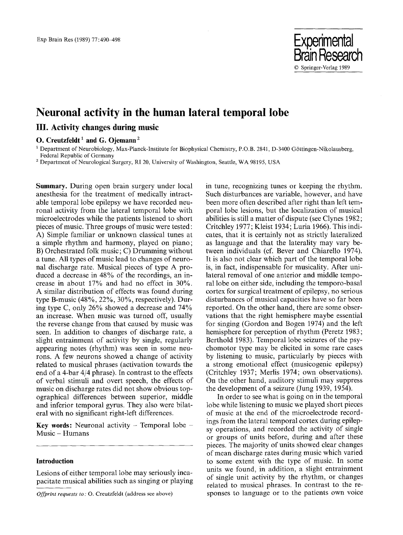

# **Neuronal activity in the human lateral temporal lobe**

# **III. Activity changes during music**

# O. **Creutzfeldt 1 and G. Ojemann 2**

1 Department of Neurobiology, Max-Planck-Institute for Biophysical Chemistry, P.O.B. 2841, D-3400 G6ttingen-Nikolausberg, Federal Republic of Germany

2 Department of Neurological Surgery, RI 20, University of Washington, Seattle, WA 98195, USA

**Summary.** During open brain surgery under local anesthesia for the treatment of medically intractable temporal lobe epilepsy we have recorded neuronal activity from the lateral temporal lobe with microelectrodes while the patients listened to short pieces of music. Three groups of music were tested: A) Simple familiar or unknown classical tunes at a simple rhythm and harmony, played on piano; B) Orchestrated folk music; C) Drumming without a tune. All types of music lead to changes of neuronal discharge rate. Musical pieces of type A produced a decrease in 48% of the recordings, an increase in about 17% and had no effect in 30%. A similar distribution of effects was found during type B-music (48%, 22%, 30%, respectively). During type C, only 26% showed a decrease and 74% an increase. When music was turned off, usually the reverse change from that caused by music was seen. In addition to changes of discharge rate, a slight entrainment of activity by single, regularly appearing notes (rhythm) was seen in some neurons. A few neurons showed a change of activity related to musical phrases (activation towards the end of a 4-bar 4/4 phrase). In contrast to the effects of verbal stimuli and overt speech, the effects of music on discharge rates did not show obvious topographical differences between superior, middle and inferior temporal gyrus. They also were bilateral with no significant right-left differences.

**Key words:** Neuronal activity  $-$  Temporal lobe  $-$ Music - Humans

## **Introduction**

Lesions of either temporal lobe may seriously incapacitate musical abilities such as singing or playing

*Offprint requests to: O. Creutzfeldt (address see above)* 

in tune, recognizing tunes or keeping the rhythm. Such disturbances are variable, however, and have been more often described after right than left temporal lobe lesions, but the localization of musical abilities is still a matter of dispute (see Clynes 1982; Critchley 1977; Kleist 1934; Luria 1966). This indicates, that it is certainly not as strictly lateralized as language and that the laterality may vary between individuals (cf. Bever and Chiarello 1974). It is also not clear which part of the temporal lobe is, in fact, indispensable for musicality. After unilateral removal of one anterior and middle temporal lobe on either side, including the temporo-basal cortex for surgical treatment of epilepsy, no serious disturbances of musical capacities have so far been reported. On the other hand, there are some observations that the right hemisphere maybe essential for singing (Gordon and Bogen 1974) and the left hemisphere for perception of rhythm (Peretz 1983; Berthold 1983). Temporal lobe seizures of the psychomotor type may be elicited in some rare cases by listening to music, particularly by pieces with a strong emotional effect (musicogenic epilepsy) (Critchley 1937; Merlis 1974; own observations). On the other hand, auditory stimuli may suppress the development of a seizure (Jung 1939, 1954).

In order to see what is going on in the temporal lobe while listening to music we played short pieces of music at the end of the microelectrode recordings from the lateral temporal cortex during epilepsy operations, and recorded the activity of single or groups of units before, during and after these pieces. The majority of units showed clear changes of mean discharge rates during music which varied to some extent with the type of music. In some units we found, in addition, a slight entrainment of single unit activity by the rhythm, or changes related to musical phrases. In contrast to the responses to language or to the patients own voice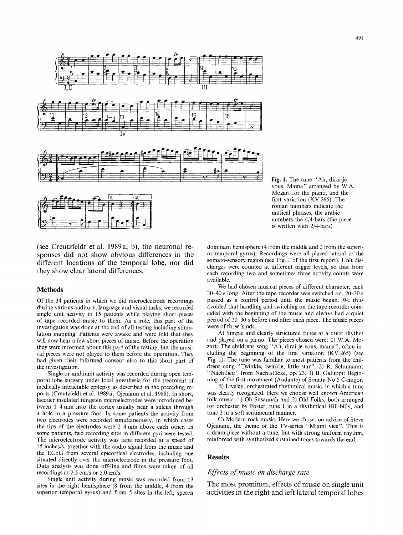

(see Creutzfeldt et al. 1989a, b), the neuronal responses did not show obvious differences in the different locations of the temporal lobe, nor did they show clear lateral differences.

#### **Methods**

Of the 34 patients in which we did microelectrode recordings during various auditory, language and visual tasks, we recorded single unit activity in 15 patients while playing short pieces of tape recorded music to them. As a rule, this part of the investigation was done at the end of all testing including stimulation mapping. Patients were awake and were told that they will now hear a few short pieces of music. Before the operation they were informed about this part of the testing, but the musical pieces were not played to them before the operation. They had given their informed consent also to this short part of the investigation.

Single or multiunit activity was recorded during open temporal lobe surgery under local anesthesia for the treatment of medically intractable epilepsy as described in the preceding reports (Creutzfeldt et al. 1989a; Ojemann et al. 1988). In short, lacquer insulated tungsten microelectrodes were introduced between 1–4 mm into the cortex usually near a sulcus through a hole in a pressure foot. In some patients the activity from two electrodes were recorded simultaneously, in which cases the tips of the electrodes were 2-4 mm above each other. In some patients, two recording sites in different gyri were tested. The microelectrode activity was tape recorded at a speed of 15 inches/s, together with the audio-signal from the music and the ECoG from several epicortical electrodes, including one situated directly over the microelectrode in the pressure foot. Data analysis was done off-line and films were taken of all recordings at 2.5 cm/s or 5.0 cm/s.

Single unit activity during music was recorded from 13 sites in the right hemisphere (8 from the middle, 4 from the superior temporal gyrus) and from 5 sites in the left, speech

**Fig.** 1, The tune "Ah, dirai-je vous, Mama" arranged by W.A. Mozart for the piano, and the first variation (KV 265). The roman numbers indicate the musical phrases, the arabic numbers the 4/4-bars (the piece is written with 2/4-bars)

dominant hemisphere (4 from the middle and 2 from the superior temporal gyrus). Recordings were all placed lateral to the somato-sensory region (see Fig. 1 of the first report). Unit discharges were counted at different trigger levels, so that from each recording two and sometimes three activity counts were available.

We had chosen musical pieces of different character, each 30-40 s long. After the tape recorder was switched on, 20-30 s passed as a control period until the music began. We thus avoided that handling and switching on the tape recorder coincided with the beginning of the music and always had a quiet period of 20-30 s before and after each piece. The music pieces were of three kinds:

A) Simple and clearly structured tunes at a quiet rhythm and played on a piano. The pieces chosen were: 1) W.A. Mozart: The childrens song "Ah, dirai-je vous, mama", often including the beginning of the first variation (KV 265) (see Fig. 1). The tune was familiar to most patients from the childrens song "Twinkle, twinkle, little star". 2) R. Schumann: "Nachtlied" from Nachtstücke, op. 23. 3) B. Galuppi: Beginning of the first movement (Andante) of Sonata No 5 C-major.

B) Liveley, orchestrated rhythmical music, in which a tune was clearly recognized. Here we choose well known American folk music: 1) Oh Susannah and 2) Old Folks, both arranged for orchester by Foster, tune 1 in a rhythmical Hill-billy, and tune 2 in a soft sentimental manner.

C) Modern rock music. Here we chose, on advice of Steve Ojemann, the theme of the TV-series "Miami vice". This is a drum piece without a tune, but with strong uniform rhythm, reinforced with synthesized sustained tones towards the end.

#### **Results**

### *Effects of music on discharge rate*

The most prominent effects of music on single unit activities in the right and left lateral temporal lobes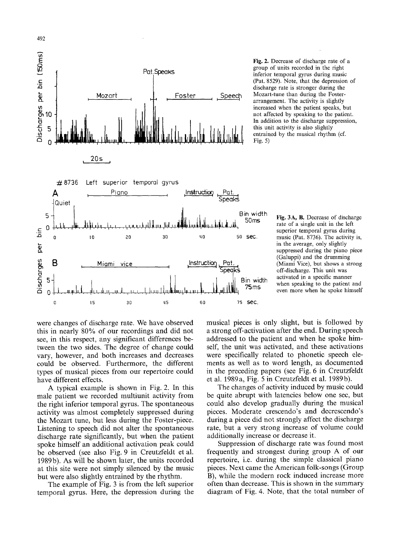

492

Fig. 2. Decrease of discharge rate of a group of units recorded in the right inferior temporal gyrus during music (Pat. 8529). Note, that the depression of discharge rate is stronger during the Mozart-tune than during the Fosterarrangement. The activity is slightly increased when the patient speaks, but not affected by speaking to the patient. In addition to the discharge suppression, this unit activity is also slightly entrained by the musical rhythm (cf. Fig. 5)

Fig. 3A, B. Decrease of discharge rate of a single unit in the left superior temporal gyrus during music (Pat. 8736). The activity is, in the average, only slightly suppressed during the piano piece (Galuppi) and the drumming (Miami Vice), but shows a strong off-discharge. This unit was activated in a specific manner when speaking to the patient and even more when he spoke himself

were changes of discharge rate. We have observed this in nearly 80% of our recordings and did not see, in this respect, any significant differences between the two sides. The degree of change could vary, however, and both increases and decreases could be observed. Furthermore, the different types of musical pieces from our repertoire could have different effects.

A typical example is shown in Fig. 2. In this male patient we recorded multiunit activity from the right inferior temporal gyrus. The spontaneous activity was almost completely suppressed during the Mozart tune, but less during the Foster-piece. Listening to speech did not alter the spontaneous discharge rate significantly, but when the patient spoke himself an additional activation peak could be observed (see also Fig. 9 in Creutzfeldt et al. 1989b). As will be shown later, the units recorded at this site were not simply silenced by the music but were also slightly entrained by the rhythm.

The example of Fig. 3 is from the left superior temporal gyrus. Here, the depression during the musical pieces is only slight, but is followed by a strong off-activation after the end. During speech addressed to the patient and when he spoke himself, the unit was activated, and these activations were specifically related to phonetic speech elements as well as to word length, as documented in the preceding papers (see Fig. 6 in Creutzfeldt et al. 1989a, Fig. 5 in Creutzfeldt et al. 1989b).

The changes of activity induced by music could be quite abrupt with latencies below one sec, but could also develop gradually during the musical pieces. Moderate crescendo's and decrescendo's during a piece did not strongly affect the discharge rate, but a very strong increase of volume could additionally increase or decrease it.

Suppression of discharge rate was found most frequently and strongest during group A of our repertoire, i.e. during the simple classical piano pieces. Next came the American folk-songs (Group B), while the modern rock induced increase more often than decrease. This is shown in the summary diagram of Fig. 4. Note, that the total number of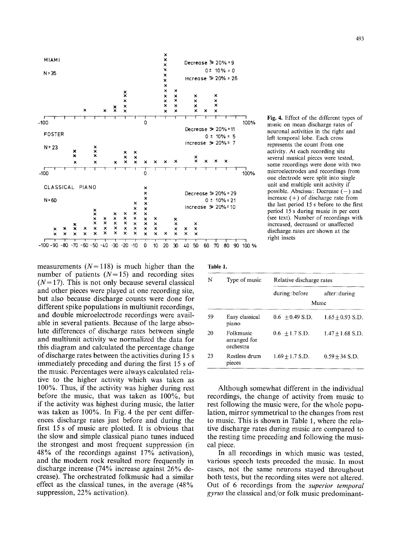

Fig. 4, Effect of the different types of music on mean discharge rates of neuronal activities in the right and left temporal lobe. Each cross represents the count from one activity. At each recording site several musical pieces were tested, some recordings were done with two microelectrodes and recordings from one electrode were split into single unit and multiple unit activity if possible. Abscissa: Decrease  $(-)$  and increase  $(+)$  of discharge rate from the last period 15 s before to the first period 15 s during music in per cent (see text). Number of recordings with increased, decreased or unaffected discharge, rates are shown at the right insets

measurements  $(N= 118)$  is much higher than the number of patients  $(N=15)$  and recording sites  $(N= 17)$ . This is not only because several classical and other pieces were played at one recording site, but also because discharge counts were done for different spike populations in multiunit recordings, and double microelectrode recordings were available in several patients. Because of the large absolute differences of discharge rates between single and multiunit activity we normalized the data for this diagram and calculated the percentage change of discharge rates between the activities during 15 s immediately preceding and during the first 15 s of the music. Percentages were always calculated relative to the higher activity which was taken as 100%. Thus, if the activity was higher during rest before the music, that was taken as 100%, but if the activity was highest during music, the latter was taken as 100%. In Fig. 4 the per cent differences discharge rates just before and during the first 15 s of music are plotted. It is obvious that the slow and simple classical piano tunes induced the strongest and most frequent suppression (in 48% of the recordings against 17% activation), and the modern rock resulted more frequently in discharge increase (74% increase against 26% decrease). The orchestrated folkmusic had a similar effect as the classical tunes, in the average (48% suppression, 22% activation).

| ۱<br>ľ. |  |
|---------|--|
|---------|--|

| N  | Type of music                          | Relative discharge rates |                        |  |
|----|----------------------------------------|--------------------------|------------------------|--|
|    |                                        | during: before           | after: during<br>Music |  |
| 59 | Easy classical<br>piano                | $0.6 + 0.49$ S.D.        | $1.65 + 0.93$ S.D.     |  |
| 20 | Folkmusic<br>arranged for<br>orchestra | $0.6 + 1.7$ S.D.         | $1.47 + 1.68$ S.D.     |  |
| 23 | Restless drum<br>pieces                | $1.69 + 1.7$ S.D.        | $0.59 + 34$ S.D.       |  |

Although somewhat different in the individual recordings, the change of activity from music to rest following the music were, for the whole population, mirror symmetrical to the changes from rest to music. This is shown in Table 1, where the relative discharge rates during music are compared to the resting time preceding and following the musical piece.

In all recordings in which music was tested, various speech tests preceded the music. In most cases, not the same neurons stayed throughout both tests, but the recording sites were not altered. Out of 6 recordings from the *superior temporal gyrus* the classical and/or folk music predominant-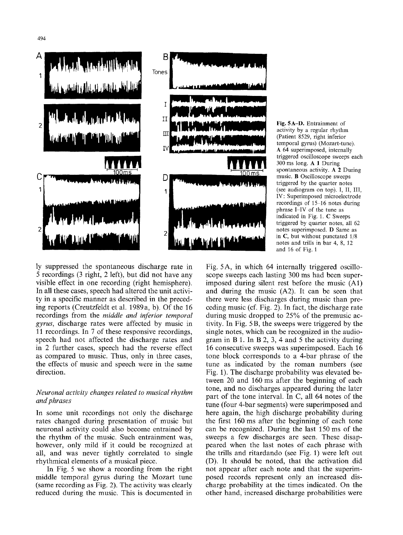



**Fig.** 5A-D. Entrainment of activity by a regular rhythm (Patient 8529, right inferior temporal gyrus) (Mozart-tune). A 64 superimposed, internally triggered oscilloscope sweeps each 300 ms long. A 1 During spontaneous activity. A 2 During music. B Oscilloscope sweeps triggered by the quarter notes (see audiogram on top). I, II, III, IV: Superimposed microelectrode recordings of 15-16 notes during phrase I-IV of the tune as indicated in Fig. 1. C Sweeps triggered by quarter notes, all 62 notes superimposed. D Same as in C, but without punctated 1/8 notes and trills in bar 4, 8, 12 and 16 of Fig. 1

ly suppressed the spontaneous discharge rate in 5 recordings (3 right, 2 left), but did not have any visible effect in one recording (right hemisphere). In all these cases, speech had altered the unit activity in a specific manner as described in the preceding reports (Creutzfeldt et al. 1989a, b). Of the 16 recordings from the *middle and inferior temporal gyrus,* discharge rates were affected by music in 11 recordings. In 7 of these responsive recordings, speech had not affected the discharge rates and in 2 further cases, speech had the reverse effect as compared to music. Thus, only in three cases, the effects of music and speech were in the same direction.

## *Neuronal activity changes related to musical rhythm and phrases*

In some unit recordings not only the discharge rates changed during presentation of music but neuronal activity could also become entrained by the rhythm of the music. Such entrainment was, however, only mild if it could be recognized at all, and was never tightly correlated to single rhythmical elements of a musical piece.

In Fig. 5 we show a recording from the right middle temporal gyrus during the Mozart tune (same recording as Fig. 2). The activity was clearly reduced during the music. This is documented in

Fig. 5A, in which 64 internally triggered oscilloscope sweeps each lasting 300 ms had been superimposed during silent rest before the music (A1) and during the music (A2). It can be seen that there were less discharges during music than preceding music (cf. Fig. 2). In fact, the discharge rate during music dropped to 25% of the premusic activity. In Fig. 5 B, the sweeps were triggered by the single notes, which can be recognized in the audiogram in B 1. In B 2, 3, 4 and 5 the activity during 16 consecutive sweeps was superimposed. Each 16 tone block corresponds to a 4-bar phrase of the tune as indicated by the roman numbers (see Fig. 1). The discharge probability was elevated between 20 and 160 ms after the beginning of each tone, and no discharges appeared during the later part of the tone interval. In C, all 64 notes of the tune (four 4-bar segments) were superimposed and here again, the high discharge probability during the first 160 ms after the beginning of each tone can be recognized. During the last 150 ms of the sweeps a few discharges are seen. These disappeared when the last notes of each phrase with the trills and ritardando (see Fig. 1) were left out (D). It should be noted, that the activation did not appear after each note and that the superimposed records represent only an increased discharge probability at the times indicated. On the other hand, increased discharge probabilities were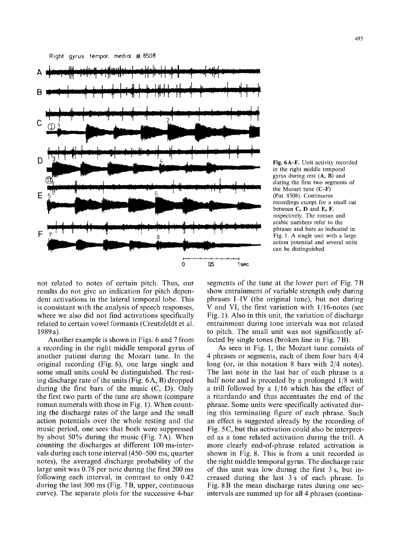Right gyrus tempor. medial # 8508



Fig. 6A-F. Unit activity recorded in the right middle temporal gyrus during rest  $(A, B)$  and during the first two segments of the Mozart tune (C-F) (Pat. 8508). Continuous recordings except for a small cut between C, D and E, F, respectively. The roman and arabic numbers refer to the phrases and bars as indicated in Fig. 1. A single unit with a large action potential and several units can be distinguished

not related to notes of certain pitch. Thus, our results do not give an indication for pitch dependent activations in the lateral temporal lobe. This is consistant with the analysis of speech responses, where we also did not find activations specifically related to certain vowel formants (Creutzfeldt et al. 1989a).

Another example is shown in Figs. 6 and 7 from a recording in the right middle temporal gyrus of another patient during the Mozart tune. In the original recording (Fig. 6), one large single and some small units could be distinguished. The resting discharge rate of the units (Fig. 6A, B) dropped during the first bars of the music (C, D). Only the first two parts of the tune are shown (compare roman numerals with those in Fig. 1). When counting the discharge rates of the large and the small action potentials over the whole resting and the music period, one sees that both were suppressed by about 50% during the music (Fig. 7A). When counting the discharges at different 100 ms-intervals during each tone interval (450-500 ms, quarter notes), the averaged discharge probability of the large unit was 0.78 per note during the first 200 ms following each interval, in contrast to only 0.42 during the last 300 ms (Fig. 7 B, upper, continuous curve). The separate plots for the successive 4-bar

segments of the tune at the lower part of Fig. 7 B show entrainment of variable strength only during phrases I-IV (the original tune), but not during V and VI, the first variation with 1/16-notes (see Fig. 1). Also in this unit, the variation of discharge entrainment during tone intervals was not related to pitch. The small unit was not significantly affected by single tones (broken line in Fig. 7 B).

As seen in Fig. 1, the Mozart tune consists of 4 phrases or segments, each of them four bars 4/4 long (or, in this notation 8 bars with *2/4* notes). The last note in the last bar of each phrase is a half note and is preceded by a prolonged 1/8 with a trill followed by a 1/16 which has the effect of a ritardando and thus accentuates the end of the phrase. Some units were specifically activated during this terminating figure of each phrase. Such an effect is suggested already by the recording of Fig. 5 C, but this activation could also be interpreted as a tone related activation during the trill. A more clearly end-of-phrase related activation is shown in Fig. 8. This is from a unit recorded in the right middle temporal gyrus. The discharge rate of this unit was low during the first 3 s, but increased during the last 3 s of each phrase. In Fig. 8 B the mean discharge rates during one secintervals are summed up for all 4 phrases (continu-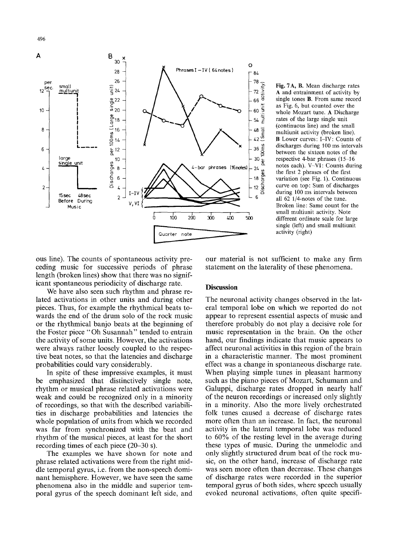

**Fig.** 7A, B. Mean discharge rates A and entrainment of activity by single tones B. From same record as Fig. 6, but counted over the whole Mozart tune. A Discharge rates of the large single unit (continuous line) and the small multiunit activity (broken line). B Lower curves: I-IV: Counts of discharges during 100 ms intervals between the sixteen notes of the respective 4-bar phrases  $(15-16)$ notes each). V-VI: Counts during the first 2 phrases of the first variation (see Fig. 1). Continuous curve on top: Sum of discharges during 100 ms intervals between all 62 1/4-notes of the tune. Broken line: Same count for the small multiunit activity. Note different ordinate scale for large single (left) and small multiunit activity (right)

ous line). The counts of spontaneous activity preceding music for successive periods of phrase length (broken lines) show that there was no significant spontaneous periodicity of discharge rate.

We have also seen such rhythm and phrase related activations in other units and during other pieces. Thus, for example the rhythmical beats towards the end of the drum solo of the rock music or the rhythmical banjo beats at the beginning of the Foster piece "Oh Susannah" tended to entrain the activity of some units. However, the activations were always rather loosely coupled to the respective beat notes, so that the latencies and discharge probabilities could vary considerably.

In spite of these impressive examples, it must be emphasized that distinctively single note, rhythm or musical phrase related activations were weak and could be recognized only in a minority of recordings, so that with the described variabilities in discharge probabilities and latencies the whole population of units from which we recorded was far from synchronized with the beat and rhythm of the musical pieces, at least for the short recording times of each piece (20-30 s).

The examples we have shown for note and phrase related activations were from the right middle temporal gyrus, i.e. from the non-speech dominant hemisphere. However, we have seen the same phenomena also in the middle and superior temporal gyrus of the speech dominant left side, and

our material is not sufficient to make any firm statement on the laterality of these phenomena.

## **Discussion**

The neuronal activity changes observed in the lateral temporal lobe on which we reported do not appear to represent essential aspects of music and therefore probably do not play a decisive role for music representation in the brain. On the other hand, our findings indicate that music appears to affect neuronal activities in this region of the brain in a characteristic manner. The most prominent effect was a change in spontaneous discharge rate. When playing simple tunes in pleasant harmony such as the piano pieces of Mozart, Schumann and Galuppi, discharge rates dropped in nearly half of the neuron recordings or increased only slightly in a minority. Also the more lively orchestrated folk tunes caused a decrease of discharge rates more often than an increase. In fact, the neuronal activity in the lateral temporal lobe was reduced to 60% of the resting level in the average during these types of music. During the unmelodic and only slightly structured drum beat of the rock music, on the other hand, increase of discharge rate was seen more often than decrease. These changes of discharge rates were recorded in the superior temporal gyrus of both sides, where speech usually evoked neuronal activations, often quite specifi-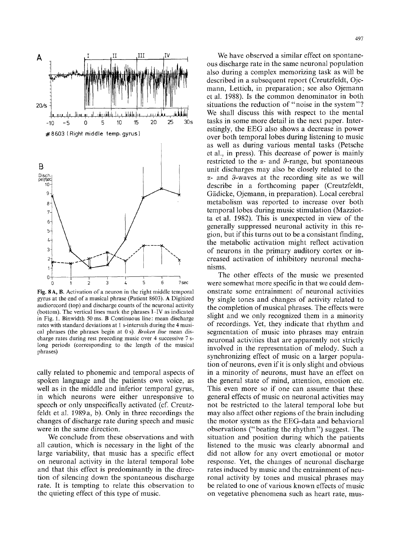

Fig. 8 A, B. Activation of a neuron in the right middle temporal gyrus at the end of a musical phrase (Patient 8603). A Digitized audiorecord (top) and discharge counts of the neuronal activity (bottom). The vertical lines mark the phrases I-IV as indicated in Fig. 1. Binwidth 50 ms. B Continuous line: mean discharge rates with standard deviations at I s-intervals during the 4 musical phrases (the phrases begin at 0 s). *Broken line* mean discharge rates during rest preceding music over 4 successive 7 slong periods (corresponding to the length of the musical phrases)

cally related to phonemic and temporal aspects of spoken language and the patients own voice, as well as in the middle and inferior temporal gyrus, in which neurons were either unresponsive to speech or only unspecifically activated (cf. Creutzfeldt et al. 1989a, b). Only in three recordings the changes of discharge rate during speech and music were in the same direction.

We conclude from these observations and with all caution, which is necessary in the light of the large variability, that music has a specific effect on neuronal activity in the lateral temporal lobe and that this effect is predominantly in the direction of silencing down the spontaneous discharge rate. It is tempting to relate this observation to the quieting effect of this type of music.

497

We have observed a similar effect on spontaneous discharge rate in the same neuronal population also during a complex memorizing task as will be described in a subsequent report (Creutzfeldt, Ojemann, Lettich, in preparation; see also Ojemann et al. 1988). Is the common denominator in both situations the reduction of "noise in the system"? We shall discuss this with respect to the mental tasks in some more detail in the next paper. Interestingly, the EEG also shows a decrease in power over both temporal lobes during listening to music as well as during various mental tasks (Petsche et al., in press). This decrease of power is mainly restricted to the  $\alpha$ - and  $\theta$ -range, but spontaneous unit discharges may also be closely related to the  $\alpha$ - and 9-waves at the recording site as we will describe in a forthcoming paper (Creutzfeldt, Gädicke, Ojemann, in preparation). Local cerebral metabolism was reported to increase over both temporal lobes during music stimulation (Mazziotta et al. 1982). This is unexpected in view of the generally suppressed neuronal activity in this region, but if this turns out to be a consistant finding, the metabolic activation might reflect activation of neurons in the primary auditory cortex or increased activation of inhibitory neuronal mechanisms.

The other effects of the music we presented were somewhat more specific in that we could demonstrate some entrainment of neuronal activities by single tones and changes of activity related to the completion of musical phrases. The effects were slight and we only recognized them in a minority of recordings. Yet, they indicate that rhythm and segmentation of music into phrases may entrain neuronal activities that are apparently not strictly involved in the representation of melody. Such a synchronizing effect of music on a larger population of neurons, even if it is only slight and obvious in a minority of neurons, must have an effect on the general state of mind, attention, emotion etc. This even more so if one can assume that these general effects of music on neuronal activities may not be restricted to the lateral temporal lobe but may also affect other regions of the brain including the motor system as the EEG-data and behavioral observations ("beating the rhythm") suggest. The situation and position during which the patients listened to the music was clearly abnormal and did not allow for any Overt emotional or motor response. Yet, the changes of neuronal discharge rates induced by music and the entrainment of neuronal activity by tones and musical phrases may be related to one of various known effects of music on vegetative phenomena such as heart rate, mus